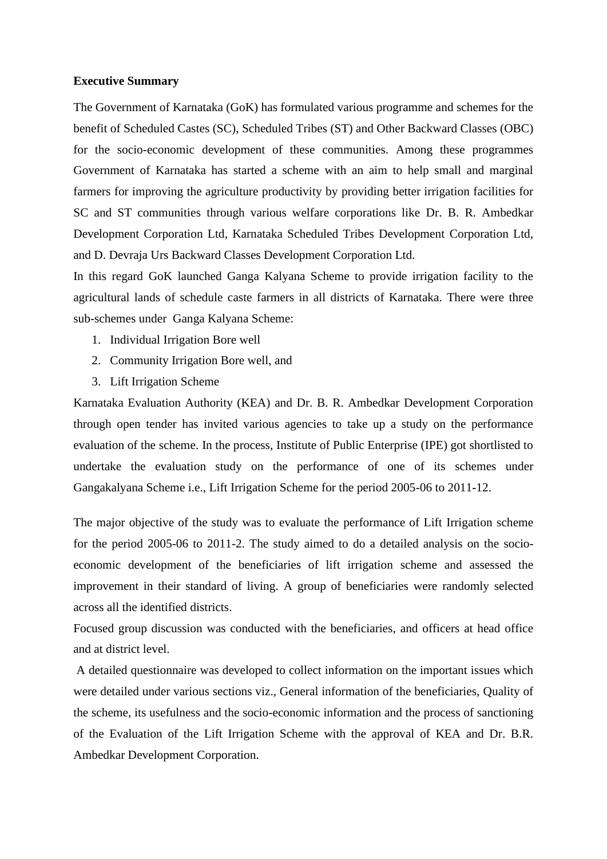## **Executive Summary**

The Government of Karnataka (GoK) has formulated various programme and schemes for the benefit of Scheduled Castes (SC), Scheduled Tribes (ST) and Other Backward Classes (OBC) for the socio-economic development of these communities. Among these programmes Government of Karnataka has started a scheme with an aim to help small and marginal farmers for improving the agriculture productivity by providing better irrigation facilities for SC and ST communities through various welfare corporations like Dr. B. R. Ambedkar Development Corporation Ltd, Karnataka Scheduled Tribes Development Corporation Ltd, and D. Devraja Urs Backward Classes Development Corporation Ltd.

In this regard GoK launched Ganga Kalyana Scheme to provide irrigation facility to the agricultural lands of schedule caste farmers in all districts of Karnataka. There were three sub-schemes under Ganga Kalyana Scheme:

- 1. Individual Irrigation Bore well
- 2. Community Irrigation Bore well, and
- 3. Lift Irrigation Scheme

Karnataka Evaluation Authority (KEA) and Dr. B. R. Ambedkar Development Corporation through open tender has invited various agencies to take up a study on the performance evaluation of the scheme. In the process, Institute of Public Enterprise (IPE) got shortlisted to undertake the evaluation study on the performance of one of its schemes under Gangakalyana Scheme i.e., Lift Irrigation Scheme for the period 2005-06 to 2011-12.

The major objective of the study was to evaluate the performance of Lift Irrigation scheme for the period 2005-06 to 2011-2. The study aimed to do a detailed analysis on the socioeconomic development of the beneficiaries of lift irrigation scheme and assessed the improvement in their standard of living. A group of beneficiaries were randomly selected across all the identified districts.

Focused group discussion was conducted with the beneficiaries, and officers at head office and at district level.

A detailed questionnaire was developed to collect information on the important issues which were detailed under various sections viz., General information of the beneficiaries, Quality of the scheme, its usefulness and the socio-economic information and the process of sanctioning of the Evaluation of the Lift Irrigation Scheme with the approval of KEA and Dr. B.R. Ambedkar Development Corporation.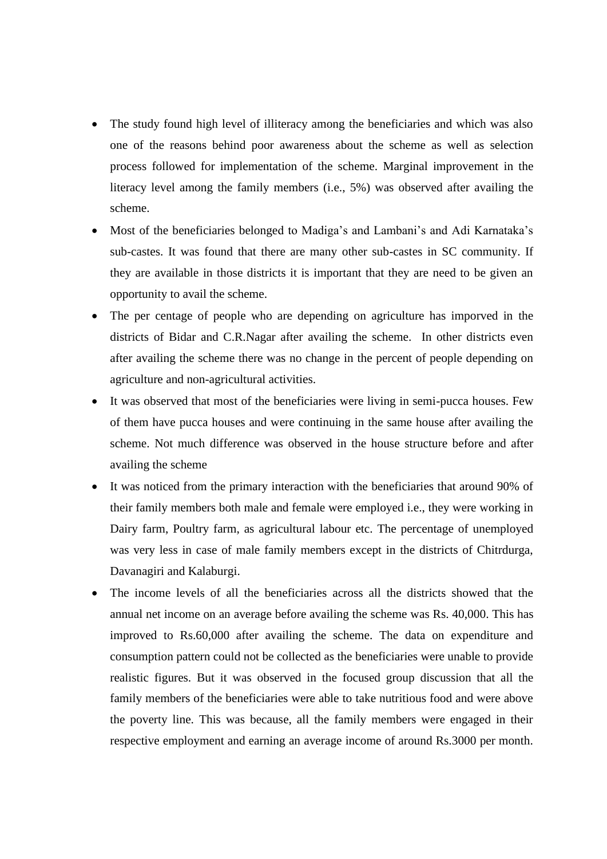- The study found high level of illiteracy among the beneficiaries and which was also one of the reasons behind poor awareness about the scheme as well as selection process followed for implementation of the scheme. Marginal improvement in the literacy level among the family members (i.e., 5%) was observed after availing the scheme.
- Most of the beneficiaries belonged to Madiga's and Lambani's and Adi Karnataka's sub-castes. It was found that there are many other sub-castes in SC community. If they are available in those districts it is important that they are need to be given an opportunity to avail the scheme.
- The per centage of people who are depending on agriculture has imporved in the districts of Bidar and C.R.Nagar after availing the scheme. In other districts even after availing the scheme there was no change in the percent of people depending on agriculture and non-agricultural activities.
- It was observed that most of the beneficiaries were living in semi-pucca houses. Few of them have pucca houses and were continuing in the same house after availing the scheme. Not much difference was observed in the house structure before and after availing the scheme
- It was noticed from the primary interaction with the beneficiaries that around 90% of their family members both male and female were employed i.e., they were working in Dairy farm, Poultry farm, as agricultural labour etc. The percentage of unemployed was very less in case of male family members except in the districts of Chitrdurga, Davanagiri and Kalaburgi.
- The income levels of all the beneficiaries across all the districts showed that the annual net income on an average before availing the scheme was Rs. 40,000. This has improved to Rs.60,000 after availing the scheme. The data on expenditure and consumption pattern could not be collected as the beneficiaries were unable to provide realistic figures. But it was observed in the focused group discussion that all the family members of the beneficiaries were able to take nutritious food and were above the poverty line. This was because, all the family members were engaged in their respective employment and earning an average income of around Rs.3000 per month.